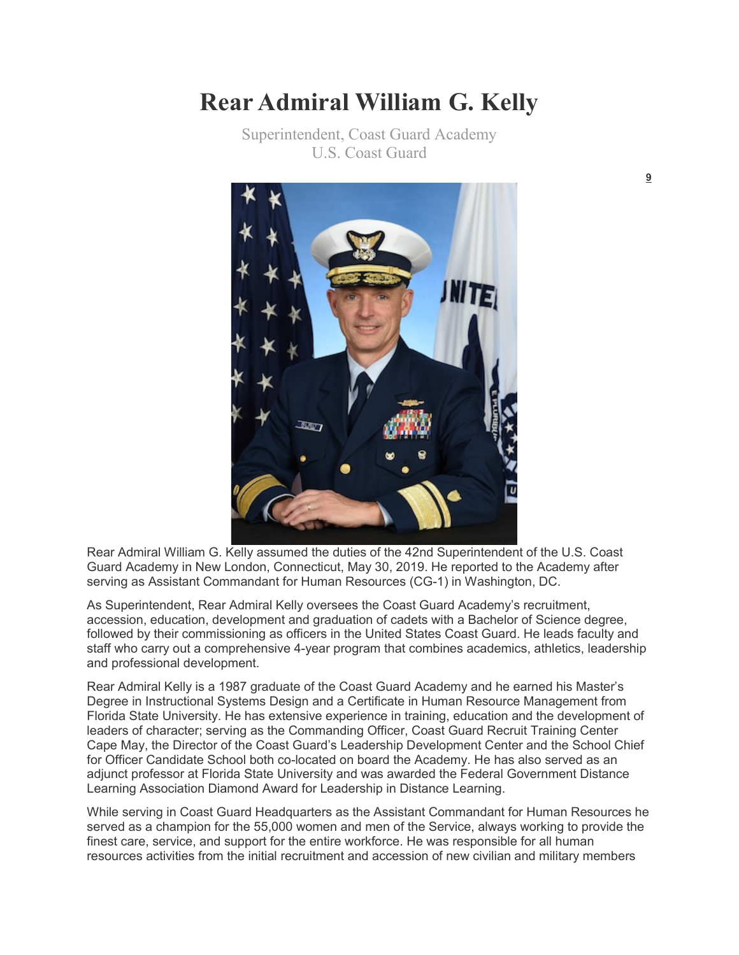## **Rear Admiral William G. Kelly**

Superintendent, Coast Guard Academy U.S. Coast Guard



Rear Admiral William G. Kelly assumed the duties of the 42nd Superintendent of the U.S. Coast Guard Academy in New London, Connecticut, May 30, 2019. He reported to the Academy after serving as Assistant Commandant for Human Resources (CG-1) in Washington, DC.

As Superintendent, Rear Admiral Kelly oversees the Coast Guard Academy's recruitment, accession, education, development and graduation of cadets with a Bachelor of Science degree, followed by their commissioning as officers in the United States Coast Guard. He leads faculty and staff who carry out a comprehensive 4-year program that combines academics, athletics, leadership and professional development.

Rear Admiral Kelly is a 1987 graduate of the Coast Guard Academy and he earned his Master's Degree in Instructional Systems Design and a Certificate in Human Resource Management from Florida State University. He has extensive experience in training, education and the development of leaders of character; serving as the Commanding Officer, Coast Guard Recruit Training Center Cape May, the Director of the Coast Guard's Leadership Development Center and the School Chief for Officer Candidate School both co-located on board the Academy. He has also served as an adjunct professor at Florida State University and was awarded the Federal Government Distance Learning Association Diamond Award for Leadership in Distance Learning.

While serving in Coast Guard Headquarters as the Assistant Commandant for Human Resources he served as a champion for the 55,000 women and men of the Service, always working to provide the finest care, service, and support for the entire workforce. He was responsible for all human resources activities from the initial recruitment and accession of new civilian and military members